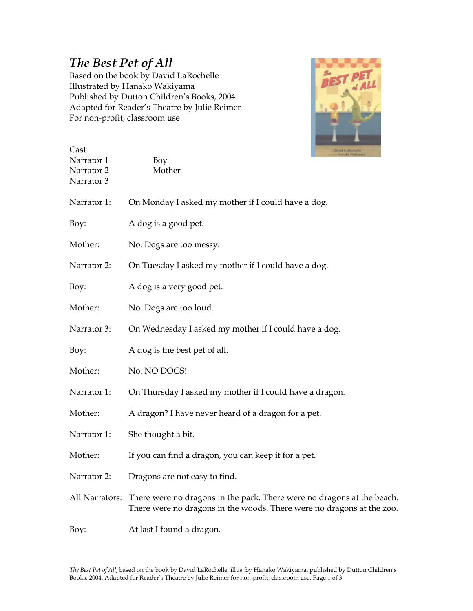## *The Best Pet of All*

Cast

Based on the book by David LaRochelle Illustrated by Hanako Wakiyama Published by Dutton Children's Books, 2004 Adapted for Reader's Theatre by Julie Reimer For non-profit, classroom use



|                          | Hanaka Wakiyoma                                                                                                                                 |
|--------------------------|-------------------------------------------------------------------------------------------------------------------------------------------------|
| Narrator 1<br>Narrator 2 | Boy<br>Mother                                                                                                                                   |
| Narrator 3               |                                                                                                                                                 |
| Narrator 1:              | On Monday I asked my mother if I could have a dog.                                                                                              |
| Boy:                     | A dog is a good pet.                                                                                                                            |
| Mother:                  | No. Dogs are too messy.                                                                                                                         |
| Narrator 2:              | On Tuesday I asked my mother if I could have a dog.                                                                                             |
| Boy:                     | A dog is a very good pet.                                                                                                                       |
| Mother:                  | No. Dogs are too loud.                                                                                                                          |
| Narrator 3:              | On Wednesday I asked my mother if I could have a dog.                                                                                           |
| Boy:                     | A dog is the best pet of all.                                                                                                                   |
| Mother:                  | No. NO DOGS!                                                                                                                                    |
| Narrator 1:              | On Thursday I asked my mother if I could have a dragon.                                                                                         |
| Mother:                  | A dragon? I have never heard of a dragon for a pet.                                                                                             |
| Narrator 1:              | She thought a bit.                                                                                                                              |
| Mother:                  | If you can find a dragon, you can keep it for a pet.                                                                                            |
| Narrator 2:              | Dragons are not easy to find.                                                                                                                   |
| All Narrators:           | There were no dragons in the park. There were no dragons at the beach.<br>There were no dragons in the woods. There were no dragons at the zoo. |
| Boy:                     | At last I found a dragon.                                                                                                                       |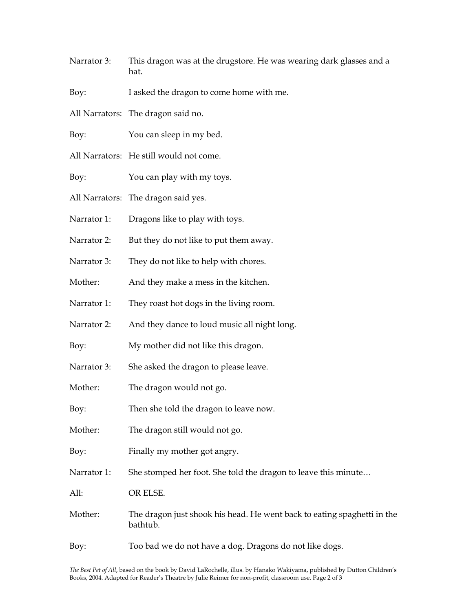- Narrator 3: This dragon was at the drugstore. He was wearing dark glasses and a hat.
- Boy: I asked the dragon to come home with me.
- All Narrators: The dragon said no.
- Boy: You can sleep in my bed.
- All Narrators: He still would not come.
- Boy: You can play with my toys.
- All Narrators: The dragon said yes.
- Narrator 1: Dragons like to play with toys.
- Narrator 2: But they do not like to put them away.
- Narrator 3: They do not like to help with chores.
- Mother: And they make a mess in the kitchen.
- Narrator 1: They roast hot dogs in the living room.
- Narrator 2: And they dance to loud music all night long.
- Boy: My mother did not like this dragon.
- Narrator 3: She asked the dragon to please leave.
- Mother: The dragon would not go.
- Boy: Then she told the dragon to leave now.
- Mother: The dragon still would not go.
- Boy: Finally my mother got angry.
- Narrator 1: She stomped her foot. She told the dragon to leave this minute...
- All: OR ELSE.
- Mother: The dragon just shook his head. He went back to eating spaghetti in the bathtub.
- Boy: Too bad we do not have a dog. Dragons do not like dogs.